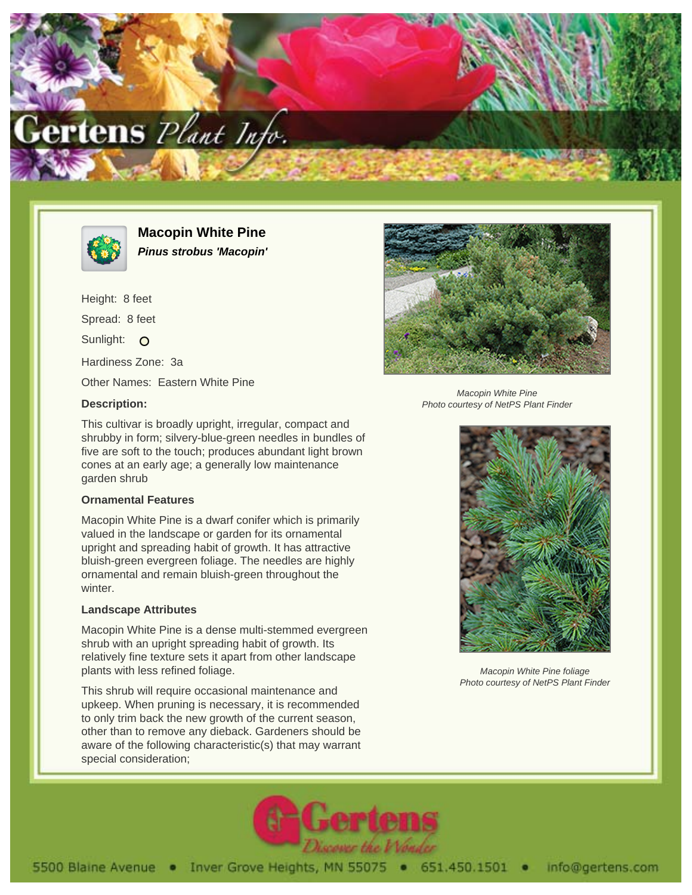



**Macopin White Pine Pinus strobus 'Macopin'**

Height: 8 feet Spread: 8 feet Sunlight: O Hardiness Zone: 3a Other Names: Eastern White Pine

## **Description:**

Macopin White Pine Photo courtesy of NetPS Plant Finder

This cultivar is broadly upright, irregular, compact and shrubby in form; silvery-blue-green needles in bundles of five are soft to the touch; produces abundant light brown cones at an early age; a generally low maintenance garden shrub

## **Ornamental Features**

Macopin White Pine is a dwarf conifer which is primarily valued in the landscape or garden for its ornamental upright and spreading habit of growth. It has attractive bluish-green evergreen foliage. The needles are highly ornamental and remain bluish-green throughout the winter.

## **Landscape Attributes**

Macopin White Pine is a dense multi-stemmed evergreen shrub with an upright spreading habit of growth. Its relatively fine texture sets it apart from other landscape plants with less refined foliage.

This shrub will require occasional maintenance and upkeep. When pruning is necessary, it is recommended to only trim back the new growth of the current season, other than to remove any dieback. Gardeners should be aware of the following characteristic(s) that may warrant special consideration;



Macopin White Pine foliage Photo courtesy of NetPS Plant Finder